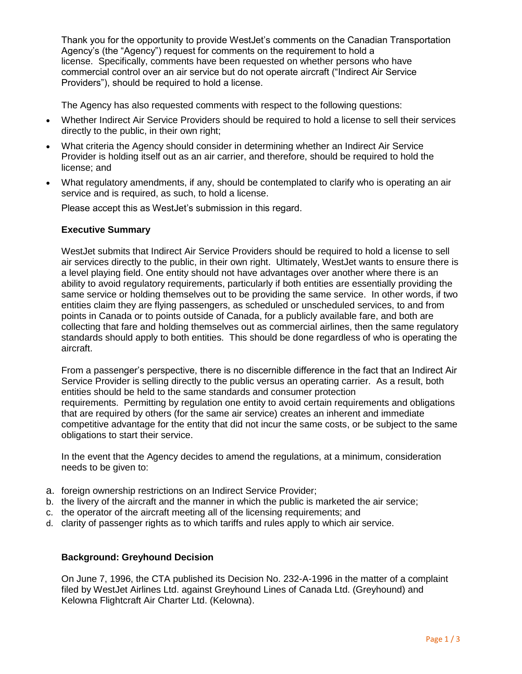Thank you for the opportunity to provide WestJet's comments on the Canadian Transportation Agency's (the "Agency") request for comments on the requirement to hold a license. Specifically, comments have been requested on whether persons who have commercial control over an air service but do not operate aircraft ("Indirect Air Service Providers"), should be required to hold a license.

The Agency has also requested comments with respect to the following questions:

- Whether Indirect Air Service Providers should be required to hold a license to sell their services directly to the public, in their own right;
- What criteria the Agency should consider in determining whether an Indirect Air Service Provider is holding itself out as an air carrier, and therefore, should be required to hold the license; and
- What regulatory amendments, if any, should be contemplated to clarify who is operating an air service and is required, as such, to hold a license.

Please accept this as WestJet's submission in this regard.

### **Executive Summary**

WestJet submits that Indirect Air Service Providers should be required to hold a license to sell air services directly to the public, in their own right. Ultimately, WestJet wants to ensure there is a level playing field. One entity should not have advantages over another where there is an ability to avoid regulatory requirements, particularly if both entities are essentially providing the same service or holding themselves out to be providing the same service. In other words, if two entities claim they are flying passengers, as scheduled or unscheduled services, to and from points in Canada or to points outside of Canada, for a publicly available fare, and both are collecting that fare and holding themselves out as commercial airlines, then the same regulatory standards should apply to both entities. This should be done regardless of who is operating the aircraft.

From a passenger's perspective, there is no discernible difference in the fact that an Indirect Air Service Provider is selling directly to the public versus an operating carrier. As a result, both entities should be held to the same standards and consumer protection requirements. Permitting by regulation one entity to avoid certain requirements and obligations that are required by others (for the same air service) creates an inherent and immediate competitive advantage for the entity that did not incur the same costs, or be subject to the same obligations to start their service.

In the event that the Agency decides to amend the regulations, at a minimum, consideration needs to be given to:

- a. foreign ownership restrictions on an Indirect Service Provider;
- b. the livery of the aircraft and the manner in which the public is marketed the air service;
- c. the operator of the aircraft meeting all of the licensing requirements; and
- d. clarity of passenger rights as to which tariffs and rules apply to which air service.

### **Background: Greyhound Decision**

On June 7, 1996, the CTA published its Decision No. 232-A-1996 in the matter of a complaint filed by WestJet Airlines Ltd. against Greyhound Lines of Canada Ltd. (Greyhound) and Kelowna Flightcraft Air Charter Ltd. (Kelowna).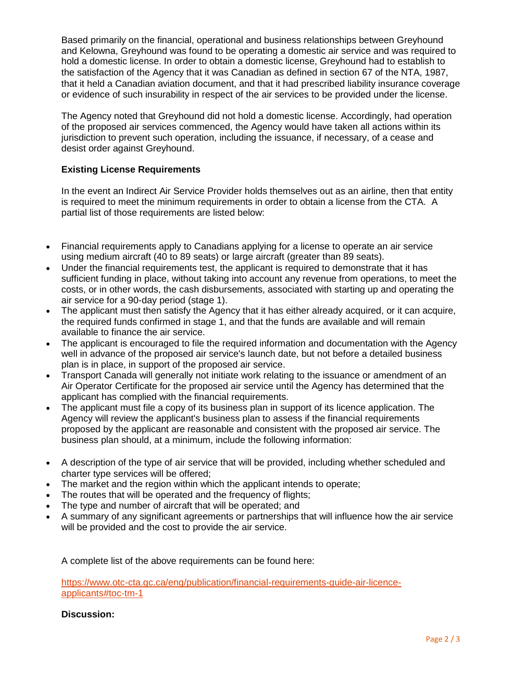Based primarily on the financial, operational and business relationships between Greyhound and Kelowna, Greyhound was found to be operating a domestic air service and was required to hold a domestic license. In order to obtain a domestic license, Greyhound had to establish to the satisfaction of the Agency that it was Canadian as defined in section 67 of the NTA, 1987, that it held a Canadian aviation document, and that it had prescribed liability insurance coverage or evidence of such insurability in respect of the air services to be provided under the license.

The Agency noted that Greyhound did not hold a domestic license. Accordingly, had operation of the proposed air services commenced, the Agency would have taken all actions within its jurisdiction to prevent such operation, including the issuance, if necessary, of a cease and desist order against Greyhound.

# **Existing License Requirements**

In the event an Indirect Air Service Provider holds themselves out as an airline, then that entity is required to meet the minimum requirements in order to obtain a license from the CTA. A partial list of those requirements are listed below:

- Financial requirements apply to Canadians applying for a license to operate an air service using medium aircraft (40 to 89 seats) or large aircraft (greater than 89 seats).
- Under the financial requirements test, the applicant is required to demonstrate that it has sufficient funding in place, without taking into account any revenue from operations, to meet the costs, or in other words, the cash disbursements, associated with starting up and operating the air service for a 90-day period (stage 1).
- The applicant must then satisfy the Agency that it has either already acquired, or it can acquire, the required funds confirmed in stage 1, and that the funds are available and will remain available to finance the air service.
- The applicant is encouraged to file the required information and documentation with the Agency well in advance of the proposed air service's launch date, but not before a detailed business plan is in place, in support of the proposed air service.
- Transport Canada will generally not initiate work relating to the issuance or amendment of an Air Operator Certificate for the proposed air service until the Agency has determined that the applicant has complied with the financial requirements.
- The applicant must file a copy of its business plan in support of its licence application. The Agency will review the applicant's business plan to assess if the financial requirements proposed by the applicant are reasonable and consistent with the proposed air service. The business plan should, at a minimum, include the following information:
- A description of the type of air service that will be provided, including whether scheduled and charter type services will be offered;
- The market and the region within which the applicant intends to operate;
- The routes that will be operated and the frequency of flights;
- The type and number of aircraft that will be operated; and
- A summary of any significant agreements or partnerships that will influence how the air service will be provided and the cost to provide the air service.

A complete list of the above requirements can be found here:

[https://www.otc-cta.gc.ca/eng/publication/financial-requirements-guide-air-licence](https://www.otc-cta.gc.ca/eng/publication/financial-requirements-guide-air-licence-applicants)[applicants#toc-tm-1](https://www.otc-cta.gc.ca/eng/publication/financial-requirements-guide-air-licence-applicants)

# **Discussion:**